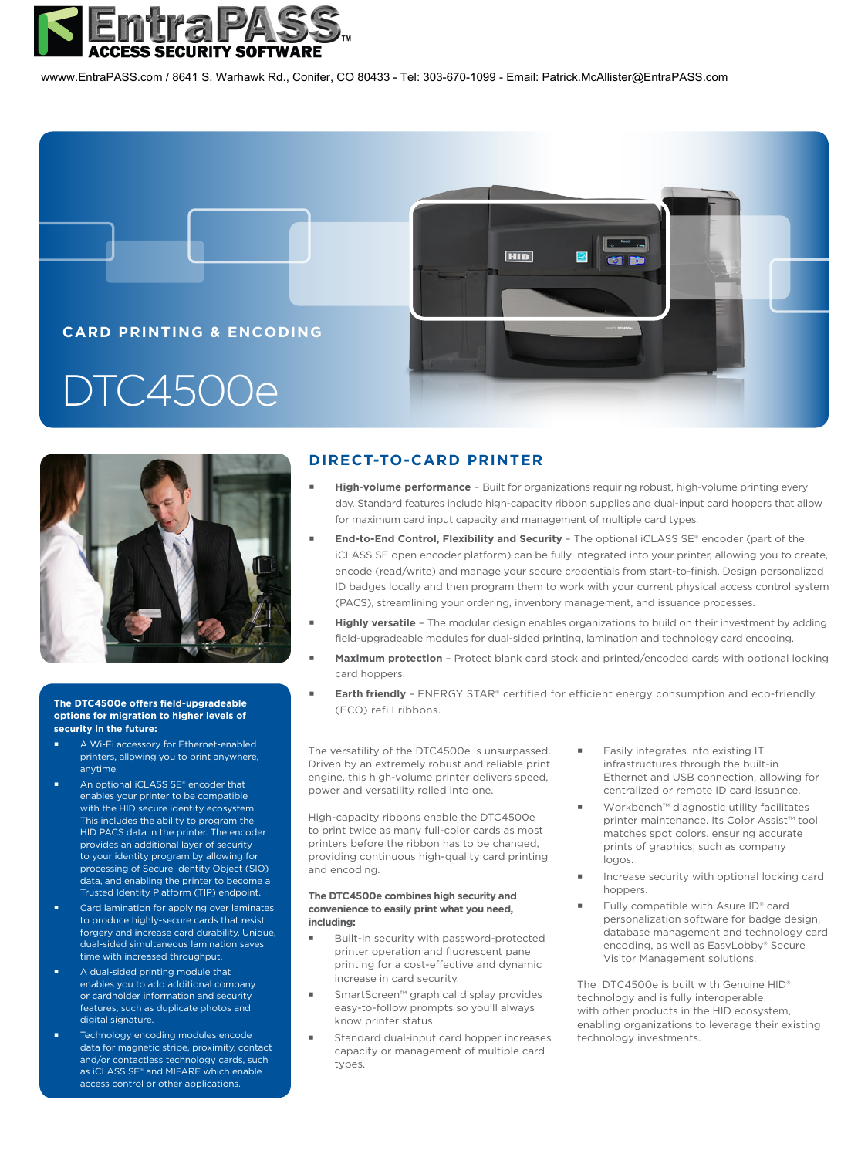

wwww.EntraPASS.com / 8641 S. Warhawk Rd., Conifer, CO 80433 - Tel: 303-670-1099 - Email: Patrick.McAllister@EntraPA[SS.com](http://www.hidglobal.com)





## (ECO) refill ribbons. **The DTC4500e offers field-upgradeable options for migration to higher levels of security in the future:**

- A Wi-Fi accessory for Ethernet-enabled printers, allowing you to print anywhere, anytime.
- An optional iCLASS SE® encoder that enables your printer to be compatible with the HID secure identity ecosystem. This includes the ability to program the HID PACS data in the printer. The encoder provides an additional layer of security to your identity program by allowing for processing of Secure Identity Object (SIO) data, and enabling the printer to become a Trusted Identity Platform (TIP) endpoint.
- Card lamination for applying over laminates to produce highly-secure cards that resist forgery and increase card durability. Unique, dual-sided simultaneous lamination saves time with increased throughput
- A dual-sided printing module that enables you to add additional company or cardholder information and security features, such as duplicate photos and digital signature.
- Technology encoding modules encode data for magnetic stripe, proximity, contact and/or contactless technology cards, such as iCLASS SE® and MIFARE which enable access control or other applications.

## **DIRECT-TO-CARD PRINTER**

- **High-volume performance** Built for organizations requiring robust, high-volume printing every day. Standard features include high-capacity ribbon supplies and dual-input card hoppers that allow for maximum card input capacity and management of multiple card types.
- **End-to-End Control, Flexibility and Security** The optional iCLASS SE® encoder (part of the iCLASS SE open encoder platform) can be fully integrated into your printer, allowing you to create, encode (read/write) and manage your secure credentials from start-to-finish. Design personalized ID badges locally and then program them to work with your current physical access control system (PACS), streamlining your ordering, inventory management, and issuance processes.
- **Highly versatile** The modular design enables organizations to build on their investment by adding field-upgradeable modules for dual-sided printing, lamination and technology card encoding.
- **Maximum protection**  Protect blank card stock and printed/encoded cards with optional locking card hoppers.
- **Earth friendly** ENERGY STAR® certified for efficient energy consumption and eco-friendly

The versatility of the DTC4500e is unsurpassed. Driven by an extremely robust and reliable print engine, this high-volume printer delivers speed, power and versatility rolled into one.

High-capacity ribbons enable the DTC4500e to print twice as many full-color cards as most printers before the ribbon has to be changed, providing continuous high-quality card printing and encoding.

## **The DTC4500e combines high security and convenience to easily print what you need, including:**

- Built-in security with password-protected printer operation and fluorescent panel printing for a cost-effective and dynamic increase in card security.
- SmartScreen™ graphical display provides easy-to-follow prompts so you'll always know printer status.
- Standard dual-input card hopper increases capacity or management of multiple card types.
- Easily integrates into existing IT infrastructures through the built-in Ethernet and USB connection, allowing for centralized or remote ID card issuance.
- Workbench™ diagnostic utility facilitates printer maintenance. Its Color Assist™ tool matches spot colors. ensuring accurate prints of graphics, such as company logos.
- Increase security with optional locking card hoppers.
- Fully compatible with Asure ID® card personalization software for badge design, database management and technology card encoding, as well as EasyLobby® Secure Visitor Management solutions.

The DTC4500e is built with Genuine HID® technology and is fully interoperable with other products in the HID ecosystem, enabling organizations to leverage their existing technology investments.